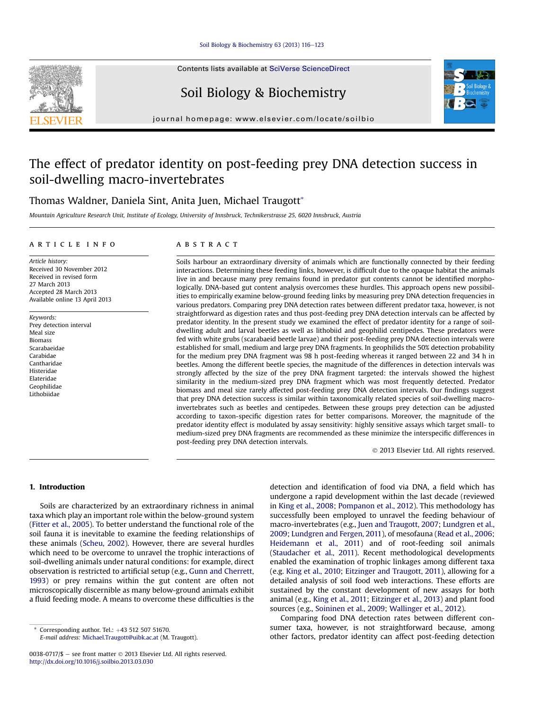#### [Soil Biology & Biochemistry 63 \(2013\) 116](http://dx.doi.org/10.1016/j.soilbio.2013.03.030)-[123](http://dx.doi.org/10.1016/j.soilbio.2013.03.030)

Contents lists available at SciVerse ScienceDirect

# Soil Biology & Biochemistry

journal homepage: [www.elsevier.com/locate/soilbio](http://www.elsevier.com/locate/soilbio)



# The effect of predator identity on post-feeding prey DNA detection success in soil-dwelling macro-invertebrates

Thomas Waldner, Daniela Sint, Anita Juen, Michael Traugott\*

Mountain Agriculture Research Unit, Institute of Ecology, University of Innsbruck, Technikerstrasse 25, 6020 Innsbruck, Austria

#### article info

Article history: Received 30 November 2012 Received in revised form 27 March 2013 Accepted 28 March 2013 Available online 13 April 2013

Keywords: Prey detection interval Meal size Biomass Scarabaeidae Carabidae Cantharidae Histeridae Elateridae Geophilidae Lithobiidae

#### **ABSTRACT**

Soils harbour an extraordinary diversity of animals which are functionally connected by their feeding interactions. Determining these feeding links, however, is difficult due to the opaque habitat the animals live in and because many prey remains found in predator gut contents cannot be identified morphologically. DNA-based gut content analysis overcomes these hurdles. This approach opens new possibilities to empirically examine below-ground feeding links by measuring prey DNA detection frequencies in various predators. Comparing prey DNA detection rates between different predator taxa, however, is not straightforward as digestion rates and thus post-feeding prey DNA detection intervals can be affected by predator identity. In the present study we examined the effect of predator identity for a range of soildwelling adult and larval beetles as well as lithobiid and geophilid centipedes. These predators were fed with white grubs (scarabaeid beetle larvae) and their post-feeding prey DNA detection intervals were established for small, medium and large prey DNA fragments. In geophilids the 50% detection probability for the medium prey DNA fragment was 98 h post-feeding whereas it ranged between 22 and 34 h in beetles. Among the different beetle species, the magnitude of the differences in detection intervals was strongly affected by the size of the prey DNA fragment targeted: the intervals showed the highest similarity in the medium-sized prey DNA fragment which was most frequently detected. Predator biomass and meal size rarely affected post-feeding prey DNA detection intervals. Our findings suggest that prey DNA detection success is similar within taxonomically related species of soil-dwelling macroinvertebrates such as beetles and centipedes. Between these groups prey detection can be adjusted according to taxon-specific digestion rates for better comparisons. Moreover, the magnitude of the predator identity effect is modulated by assay sensitivity: highly sensitive assays which target small- to medium-sized prey DNA fragments are recommended as these minimize the interspecific differences in post-feeding prey DNA detection intervals.

2013 Elsevier Ltd. All rights reserved.

# 1. Introduction

Soils are characterized by an extraordinary richness in animal taxa which play an important role within the below-ground system ([Fitter et al., 2005](#page-6-0)). To better understand the functional role of the soil fauna it is inevitable to examine the feeding relationships of these animals [\(Scheu, 2002](#page-7-0)). However, there are several hurdles which need to be overcome to unravel the trophic interactions of soil-dwelling animals under natural conditions: for example, direct observation is restricted to artificial setup (e.g., [Gunn and Cherrett,](#page-6-0) [1993](#page-6-0)) or prey remains within the gut content are often not microscopically discernible as many below-ground animals exhibit a fluid feeding mode. A means to overcome these difficulties is the

E-mail address: [Michael.Traugott@uibk.ac.at](mailto:Michael.Traugott@uibk.ac.at) (M. Traugott).

detection and identification of food via DNA, a field which has undergone a rapid development within the last decade (reviewed in [King et al., 2008;](#page-7-0) [Pompanon et al., 2012](#page-7-0)). This methodology has successfully been employed to unravel the feeding behaviour of macro-invertebrates (e.g., [Juen and Traugott, 2007](#page-7-0); [Lundgren et al.,](#page-7-0) [2009](#page-7-0); [Lundgren and Fergen, 2011\)](#page-7-0), of mesofauna ([Read et al., 2006](#page-7-0); [Heidemann et al., 2011\)](#page-6-0) and of root-feeding soil animals ([Staudacher et al., 2011](#page-7-0)). Recent methodological developments enabled the examination of trophic linkages among different taxa (e.g. [King et al., 2010;](#page-7-0) [Eitzinger and Traugott, 2011\)](#page-6-0), allowing for a detailed analysis of soil food web interactions. These efforts are sustained by the constant development of new assays for both animal (e.g., [King et al., 2011](#page-7-0); [Eitzinger et al., 2013\)](#page-6-0) and plant food sources (e.g., [Soininen et al., 2009](#page-7-0); [Wallinger et al., 2012\)](#page-7-0).

Comparing food DNA detection rates between different consumer taxa, however, is not straightforward because, among other factors, predator identity can affect post-feeding detection





Corresponding author. Tel.:  $+43$  512 507 51670.

<sup>0038-0717/\$ -</sup> see front matter  $\odot$  2013 Elsevier Ltd. All rights reserved. <http://dx.doi.org/10.1016/j.soilbio.2013.03.030>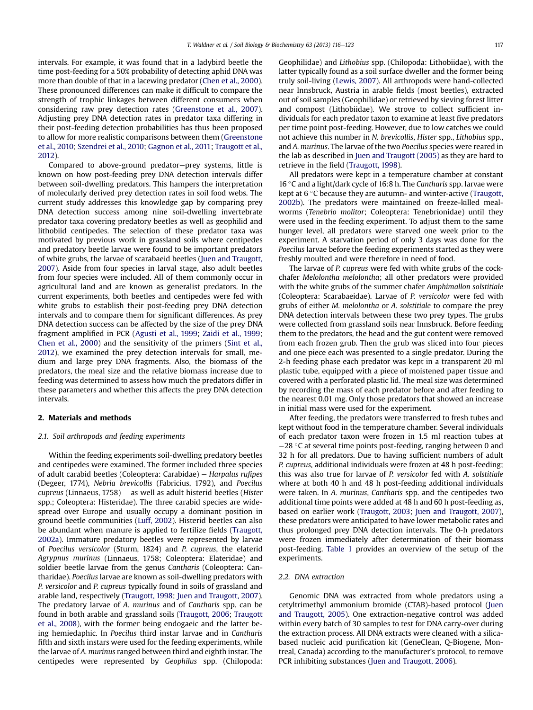<span id="page-1-0"></span>intervals. For example, it was found that in a ladybird beetle the time post-feeding for a 50% probability of detecting aphid DNA was more than double of that in a lacewing predator [\(Chen et al., 2000\)](#page-6-0). These pronounced differences can make it difficult to compare the strength of trophic linkages between different consumers when considering raw prey detection rates ([Greenstone et al., 2007\)](#page-6-0). Adjusting prey DNA detection rates in predator taxa differing in their post-feeding detection probabilities has thus been proposed to allow for more realistic comparisons between them [\(Greenstone](#page-6-0) [et al., 2010](#page-6-0); [Szendrei et al., 2010;](#page-7-0) [Gagnon et al., 2011;](#page-6-0) [Traugott et al.,](#page-7-0) [2012\)](#page-7-0).

Compared to above-ground predator-prey systems, little is known on how post-feeding prey DNA detection intervals differ between soil-dwelling predators. This hampers the interpretation of molecularly derived prey detection rates in soil food webs. The current study addresses this knowledge gap by comparing prey DNA detection success among nine soil-dwelling invertebrate predator taxa covering predatory beetles as well as geophilid and lithobiid centipedes. The selection of these predator taxa was motivated by previous work in grassland soils where centipedes and predatory beetle larvae were found to be important predators of white grubs, the larvae of scarabaeid beetles ([Juen and Traugott,](#page-7-0) [2007\)](#page-7-0). Aside from four species in larval stage, also adult beetles from four species were included. All of them commonly occur in agricultural land and are known as generalist predators. In the current experiments, both beetles and centipedes were fed with white grubs to establish their post-feeding prey DNA detection intervals and to compare them for significant differences. As prey DNA detection success can be affected by the size of the prey DNA fragment amplified in PCR [\(Agusti et al., 1999;](#page-6-0) [Zaidi et al., 1999;](#page-7-0) [Chen et al., 2000](#page-6-0)) and the sensitivity of the primers [\(Sint et al.,](#page-7-0) [2012\)](#page-7-0), we examined the prey detection intervals for small, medium and large prey DNA fragments. Also, the biomass of the predators, the meal size and the relative biomass increase due to feeding was determined to assess how much the predators differ in these parameters and whether this affects the prey DNA detection intervals.

## 2. Materials and methods

#### 2.1. Soil arthropods and feeding experiments

Within the feeding experiments soil-dwelling predatory beetles and centipedes were examined. The former included three species of adult carabid beetles (Coleoptera: Carabidae)  $-$  Harpalus rufipes (Degeer, 1774), Nebria brevicollis (Fabricius, 1792), and Poecilus  $cupreus$  (Linnaeus, 1758) – as well as adult histerid beetles (Hister spp.; Coleoptera: Histeridae). The three carabid species are widespread over Europe and usually occupy a dominant position in ground beetle communities ([Luff, 2002](#page-7-0)). Histerid beetles can also be abundant when manure is applied to fertilize fields ([Traugott,](#page-7-0) [2002a\)](#page-7-0). Immature predatory beetles were represented by larvae of Poecilus versicolor (Sturm, 1824) and P. cupreus, the elaterid Agrypnus murinus (Linnaeus, 1758; Coleoptera: Elateridae) and soldier beetle larvae from the genus Cantharis (Coleoptera: Cantharidae). Poecilus larvae are known as soil-dwelling predators with P. versicolor and P. cupreus typically found in soils of grassland and arable land, respectively [\(Traugott, 1998;](#page-7-0) [Juen and Traugott, 2007\)](#page-7-0). The predatory larvae of A. murinus and of Cantharis spp. can be found in both arable and grassland soils ([Traugott, 2006](#page-7-0); [Traugott](#page-7-0) [et al., 2008\)](#page-7-0), with the former being endogaeic and the latter being hemiedaphic. In Poecilus third instar larvae and in Cantharis fifth and sixth instars were used for the feeding experiments, while the larvae of A. murinus ranged between third and eighth instar. The centipedes were represented by Geophilus spp. (Chilopoda: Geophilidae) and Lithobius spp. (Chilopoda: Lithobiidae), with the latter typically found as a soil surface dweller and the former being truly soil-living [\(Lewis, 2007](#page-7-0)). All arthropods were hand-collected near Innsbruck, Austria in arable fields (most beetles), extracted out of soil samples (Geophilidae) or retrieved by sieving forest litter and compost (Lithobiidae). We strove to collect sufficient individuals for each predator taxon to examine at least five predators per time point post-feeding. However, due to low catches we could not achieve this number in N. brevicollis, Hister spp., Lithobius spp., and A. murinus. The larvae of the two Poecilus species were reared in the lab as described in [Juen and Traugott \(2005\)](#page-7-0) as they are hard to retrieve in the field [\(Traugott, 1998](#page-7-0)).

All predators were kept in a temperature chamber at constant 16  $\degree$ C and a light/dark cycle of 16:8 h. The Cantharis spp. larvae were kept at 6 °C because they are autumn- and winter-active ([Traugott,](#page-7-0) [2002b](#page-7-0)). The predators were maintained on freeze-killed mealworms (Tenebrio molitor; Coleoptera: Tenebrionidae) until they were used in the feeding experiment. To adjust them to the same hunger level, all predators were starved one week prior to the experiment. A starvation period of only 3 days was done for the Poecilus larvae before the feeding experiments started as they were freshly moulted and were therefore in need of food.

The larvae of P. cupreus were fed with white grubs of the cockchafer Melolontha melolontha; all other predators were provided with the white grubs of the summer chafer Amphimallon solstitiale (Coleoptera: Scarabaeidae). Larvae of P. versicolor were fed with grubs of either M. melolontha or A. solstitiale to compare the prey DNA detection intervals between these two prey types. The grubs were collected from grassland soils near Innsbruck. Before feeding them to the predators, the head and the gut content were removed from each frozen grub. Then the grub was sliced into four pieces and one piece each was presented to a single predator. During the 2-h feeding phase each predator was kept in a transparent 20 ml plastic tube, equipped with a piece of moistened paper tissue and covered with a perforated plastic lid. The meal size was determined by recording the mass of each predator before and after feeding to the nearest 0.01 mg. Only those predators that showed an increase in initial mass were used for the experiment.

After feeding, the predators were transferred to fresh tubes and kept without food in the temperature chamber. Several individuals of each predator taxon were frozen in 1.5 ml reaction tubes at -28 °C at several time points post-feeding, ranging between 0 and 32 h for all predators. Due to having sufficient numbers of adult P. cupreus, additional individuals were frozen at 48 h post-feeding; this was also true for larvae of P. versicolor fed with A. solstitiale where at both 40 h and 48 h post-feeding additional individuals were taken. In A. murinus, Cantharis spp. and the centipedes two additional time points were added at 48 h and 60 h post-feeding as, based on earlier work [\(Traugott, 2003](#page-7-0); [Juen and Traugott, 2007\)](#page-7-0), these predators were anticipated to have lower metabolic rates and thus prolonged prey DNA detection intervals. The 0-h predators were frozen immediately after determination of their biomass post-feeding. [Table 1](#page-2-0) provides an overview of the setup of the experiments.

#### 2.2. DNA extraction

Genomic DNA was extracted from whole predators using a cetyltrimethyl ammonium bromide (CTAB)-based protocol ([Juen](#page-7-0) [and Traugott, 2005\)](#page-7-0). One extraction-negative control was added within every batch of 30 samples to test for DNA carry-over during the extraction process. All DNA extracts were cleaned with a silicabased nucleic acid purification kit (GeneClean, Q-Biogene, Montreal, Canada) according to the manufacturer's protocol, to remove PCR inhibiting substances [\(Juen and Traugott, 2006\)](#page-7-0).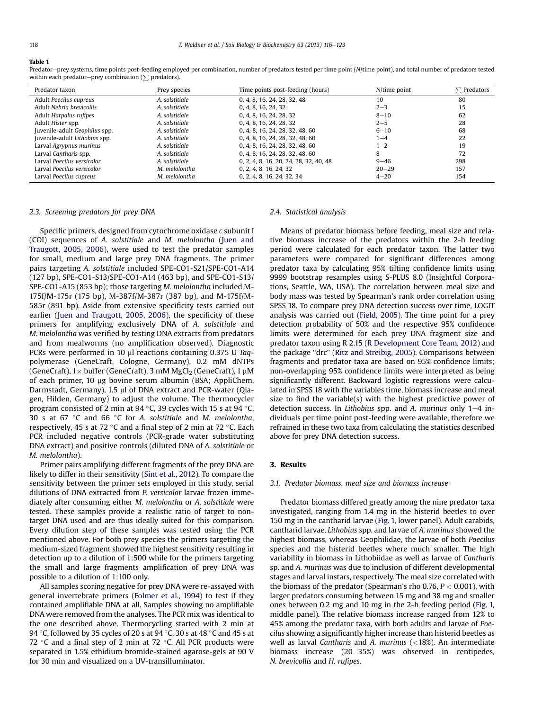#### <span id="page-2-0"></span>Table 1

Predator-prey systems, time points post-feeding employed per combination, number of predators tested per time point (N/time point), and total number of predators tested within each predator-prey combination ( $\sum$  predators).

| Predator taxon                | Prey species   | Time points post-feeding (hours)       | $N$ /time point | $\Sigma$ Predators |
|-------------------------------|----------------|----------------------------------------|-----------------|--------------------|
| Adult Poecilus cupreus        | A. solstitiale | 0, 4, 8, 16, 24, 28, 32, 48            | 10              | 80                 |
| Adult Nebria brevicollis      | A. solstitiale | 0, 4, 8, 16, 24, 32                    | $2 - 3$         | 15                 |
| Adult Harpalus rufipes        | A. solstitiale | 0, 4, 8, 16, 24, 28, 32                | $8 - 10$        | 62                 |
| Adult Hister spp.             | A. solstitiale | 0, 4, 8, 16, 24, 28, 32                | $2 - 5$         | 28                 |
| Juvenile-adult Geophilus spp. | A. solstitiale | 0, 4, 8, 16, 24, 28, 32, 48, 60        | $6 - 10$        | 68                 |
| Juvenile-adult Lithobius spp. | A. solstitiale | 0, 4, 8, 16, 24, 28, 32, 48, 60        | $1 - 4$         | 22                 |
| Larval Agrypnus murinus       | A. solstitiale | 0, 4, 8, 16, 24, 28, 32, 48, 60        | $1 - 2$         | 19                 |
| Larval Cantharis spp.         | A. solstitiale | 0, 4, 8, 16, 24, 28, 32, 48, 60        | 8               | 72                 |
| Larval Poecilus versicolor    | A. solstitiale | 0, 2, 4, 8, 16, 20, 24, 28, 32, 40, 48 | $9 - 46$        | 298                |
| Larval Poecilus versicolor    | M. melolontha  | 0, 2, 4, 8, 16, 24, 32                 | $20 - 29$       | 157                |
| Larval Poecilus cupreus       | M. melolontha  | 0, 2, 4, 8, 16, 24, 32, 34             | $4 - 20$        | 154                |

#### 2.3. Screening predators for prey DNA

Specific primers, designed from cytochrome oxidase c subunit I (COI) sequences of A. solstitiale and M. melolontha ([Juen and](#page-7-0) [Traugott, 2005,](#page-7-0) [2006](#page-7-0)), were used to test the predator samples for small, medium and large prey DNA fragments. The primer pairs targeting A. solstitiale included SPE-CO1-S21/SPE-CO1-A14 (127 bp), SPE-CO1-S13/SPE-CO1-A14 (463 bp), and SPE-CO1-S13/ SPE-CO1-A15 (853 bp); those targeting M. melolontha included M-175f/M-175r (175 bp), M-387f/M-387r (387 bp), and M-175f/M-585r (891 bp). Aside from extensive specificity tests carried out earlier [\(Juen and Traugott, 2005](#page-7-0), [2006](#page-7-0)), the specificity of these primers for amplifying exclusively DNA of A. solstitiale and M. melolontha was verified by testing DNA extracts from predators and from mealworms (no amplification observed). Diagnostic PCRs were performed in 10 µl reactions containing 0.375 U Taqpolymerase (GeneCraft, Cologne, Germany), 0.2 mM dNTPs (GeneCraft),  $1 \times$  buffer (GeneCraft), 3 mM MgCl<sub>2</sub> (GeneCraft), 1 µM of each primer, 10 µg bovine serum albumin (BSA; AppliChem, Darmstadt, Germany), 1.5 µl of DNA extract and PCR-water (Qiagen, Hilden, Germany) to adjust the volume. The thermocycler program consisted of 2 min at 94 °C, 39 cycles with 15 s at 94 °C, 30 s at 67  $^{\circ}$ C and 66  $^{\circ}$ C for A. solstitiale and M. melolontha, respectively, 45 s at 72  $\degree$ C and a final step of 2 min at 72  $\degree$ C. Each PCR included negative controls (PCR-grade water substituting DNA extract) and positive controls (diluted DNA of A. solstitiale or M. melolontha).

Primer pairs amplifying different fragments of the prey DNA are likely to differ in their sensitivity [\(Sint et al., 2012\)](#page-7-0). To compare the sensitivity between the primer sets employed in this study, serial dilutions of DNA extracted from P. versicolor larvae frozen immediately after consuming either M. melolontha or A. solstitiale were tested. These samples provide a realistic ratio of target to nontarget DNA used and are thus ideally suited for this comparison. Every dilution step of these samples was tested using the PCR mentioned above. For both prey species the primers targeting the medium-sized fragment showed the highest sensitivity resulting in detection up to a dilution of 1:500 while for the primers targeting the small and large fragments amplification of prey DNA was possible to a dilution of 1:100 only.

All samples scoring negative for prey DNA were re-assayed with general invertebrate primers [\(Folmer et al., 1994](#page-6-0)) to test if they contained amplifiable DNA at all. Samples showing no amplifiable DNA were removed from the analyses. The PCR mix was identical to the one described above. Thermocycling started with 2 min at 94 °C, followed by 35 cycles of 20 s at 94 °C, 30 s at 48 °C and 45 s at 72  $\degree$ C and a final step of 2 min at 72  $\degree$ C. All PCR products were separated in 1.5% ethidium bromide-stained agarose-gels at 90 V for 30 min and visualized on a UV-transilluminator.

#### 2.4. Statistical analysis

Means of predator biomass before feeding, meal size and relative biomass increase of the predators within the 2-h feeding period were calculated for each predator taxon. The latter two parameters were compared for significant differences among predator taxa by calculating 95% tilting confidence limits using 9999 bootstrap resamples using S-PLUS 8.0 (Insightful Corporations, Seattle, WA, USA). The correlation between meal size and body mass was tested by Spearman's rank order correlation using SPSS 18. To compare prey DNA detection success over time, LOGIT analysis was carried out [\(Field, 2005\)](#page-6-0). The time point for a prey detection probability of 50% and the respective 95% confidence limits were determined for each prey DNA fragment size and predator taxon using R 2.15 ([R Development Core Team, 2012](#page-7-0)) and the package "drc" ([Ritz and Streibig, 2005](#page-7-0)). Comparisons between fragments and predator taxa are based on 95% confidence limits; non-overlapping 95% confidence limits were interpreted as being significantly different. Backward logistic regressions were calculated in SPSS 18 with the variables time, biomass increase and meal size to find the variable(s) with the highest predictive power of detection success. In *Lithobius* spp. and A. murinus only  $1-4$  individuals per time point post-feeding were available, therefore we refrained in these two taxa from calculating the statistics described above for prey DNA detection success.

### 3. Results

#### 3.1. Predator biomass, meal size and biomass increase

Predator biomass differed greatly among the nine predator taxa investigated, ranging from 1.4 mg in the histerid beetles to over 150 mg in the cantharid larvae [\(Fig. 1,](#page-3-0) lower panel). Adult carabids, cantharid larvae, Lithobius spp. and larvae of A. murinus showed the highest biomass, whereas Geophilidae, the larvae of both Poecilus species and the histerid beetles where much smaller. The high variability in biomass in Lithobiidae as well as larvae of Cantharis sp. and A. murinus was due to inclusion of different developmental stages and larval instars, respectively. The meal size correlated with the biomass of the predator (Spearman's rho 0.76,  $P < 0.001$ ), with larger predators consuming between 15 mg and 38 mg and smaller ones between 0.2 mg and 10 mg in the 2-h feeding period ([Fig. 1,](#page-3-0) middle panel). The relative biomass increase ranged from 12% to 45% among the predator taxa, with both adults and larvae of Poecilus showing a significantly higher increase than histerid beetles as well as larval Cantharis and A. murinus (<18%). An intermediate biomass increase  $(20-35%)$  was observed in centipedes, N. brevicollis and H. rufipes.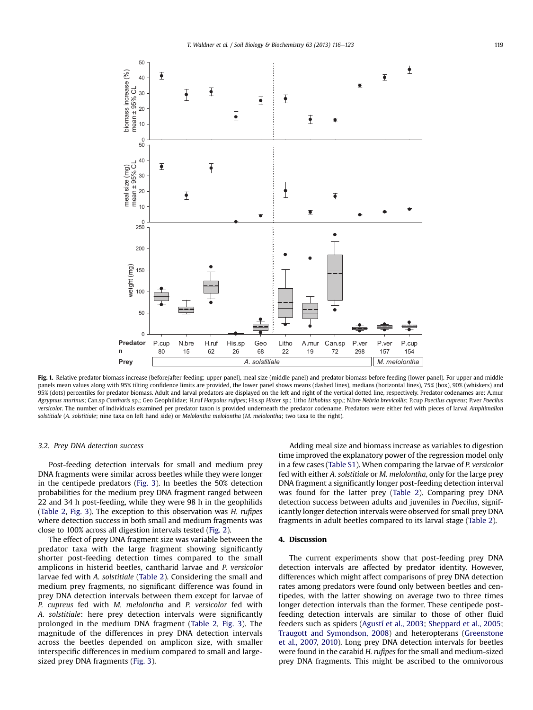<span id="page-3-0"></span>

Fig. 1. Relative predator biomass increase (before/after feeding; upper panel), meal size (middle panel) and predator biomass before feeding (lower panel). For upper and middle panels mean values along with 95% tilting confidence limits are provided, the lower panel shows means (dashed lines), medians (horizontal lines), 75% (box), 90% (whiskers) and 95% (dots) percentiles for predator biomass. Adult and larval predators are displayed on the left and right of the vertical dotted line, respectively. Predator codenames are: A.mur Agrypnus murinus; Can.sp Cantharis sp.; Geo Geophilidae; H.ruf Harpalus rufipes; His.sp Hister sp.; Litho Lithobius spp.; N.bre Nebria brevicollis; P.cup Poecilus cupreus; P.ver Poecilus versicolor. The number of individuals examined per predator taxon is provided underneath the predator codename. Predators were either fed with pieces of larval Amphimallon solstitiale (A. solstitiale; nine taxa on left hand side) or Melolontha melolontha (M. melolontha; two taxa to the right).

#### 3.2. Prey DNA detection success

Post-feeding detection intervals for small and medium prey DNA fragments were similar across beetles while they were longer in the centipede predators ([Fig. 3](#page-6-0)). In beetles the 50% detection probabilities for the medium prey DNA fragment ranged between 22 and 34 h post-feeding, while they were 98 h in the geophilids ([Table 2](#page-4-0), [Fig. 3](#page-6-0)). The exception to this observation was H. rufipes where detection success in both small and medium fragments was close to 100% across all digestion intervals tested ([Fig. 2\)](#page-5-0).

The effect of prey DNA fragment size was variable between the predator taxa with the large fragment showing significantly shorter post-feeding detection times compared to the small amplicons in histerid beetles, cantharid larvae and P. versicolor larvae fed with A. solstitiale ([Table 2\)](#page-4-0). Considering the small and medium prey fragments, no significant difference was found in prey DNA detection intervals between them except for larvae of P. cupreus fed with M. melolontha and P. versicolor fed with A. solstitiale: here prey detection intervals were significantly prolonged in the medium DNA fragment ([Table 2,](#page-4-0) [Fig. 3](#page-6-0)). The magnitude of the differences in prey DNA detection intervals across the beetles depended on amplicon size, with smaller interspecific differences in medium compared to small and largesized prey DNA fragments ([Fig. 3\)](#page-6-0).

Adding meal size and biomass increase as variables to digestion time improved the explanatory power of the regression model only in a few cases (Table S1). When comparing the larvae of P. versicolor fed with either A. solstitiale or M. melolontha, only for the large prey DNA fragment a significantly longer post-feeding detection interval was found for the latter prey [\(Table 2](#page-4-0)). Comparing prey DNA detection success between adults and juveniles in Poecilus, significantly longer detection intervals were observed for small prey DNA fragments in adult beetles compared to its larval stage ([Table 2\)](#page-4-0).

## 4. Discussion

The current experiments show that post-feeding prey DNA detection intervals are affected by predator identity. However, differences which might affect comparisons of prey DNA detection rates among predators were found only between beetles and centipedes, with the latter showing on average two to three times longer detection intervals than the former. These centipede postfeeding detection intervals are similar to those of other fluid feeders such as spiders ([Agustí et al., 2003;](#page-6-0) [Sheppard et al., 2005;](#page-7-0) [Traugott and Symondson, 2008\)](#page-7-0) and heteropterans [\(Greenstone](#page-6-0) [et al., 2007,](#page-6-0) [2010\)](#page-6-0). Long prey DNA detection intervals for beetles were found in the carabid H. rufipes for the small and medium-sized prey DNA fragments. This might be ascribed to the omnivorous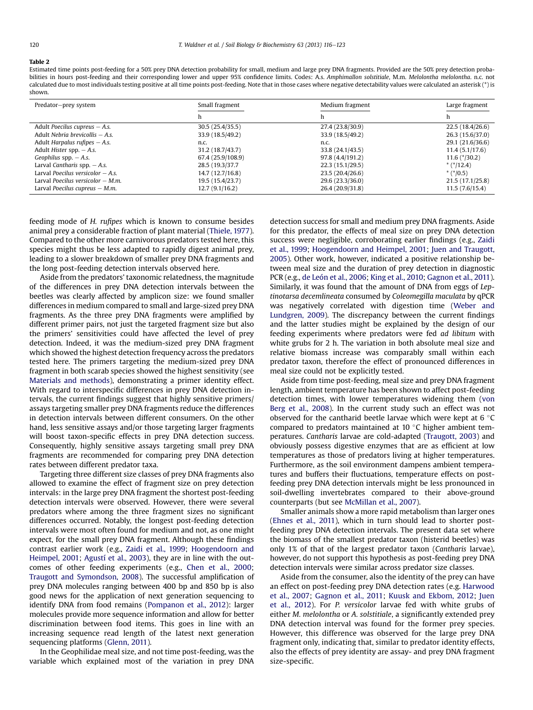#### <span id="page-4-0"></span>Table 2

Estimated time points post-feeding for a 50% prey DNA detection probability for small, medium and large prey DNA fragments. Provided are the 50% prey detection probabilities in hours post-feeding and their corresponding lower and upper 95% confidence limits. Codes: A.s. Amphimallon solstitiale, M.m. Melolontha melolontha. n.c. not calculated due to most individuals testing positive at all time points post-feeding. Note that in those cases where negative detectability values were calculated an asterisk (\*) is shown.

| Predator-prey system                | Small fragment    | Medium fragment  | Large fragment      |
|-------------------------------------|-------------------|------------------|---------------------|
|                                     |                   |                  | h                   |
| Adult Poecilus cupreus $-A.s.$      | 30.5(25.4/35.5)   | 27.4 (23.8/30.9) | 22.5 (18.4/26.6)    |
| Adult Nebria brevicollis $-A.s.$    | 33.9 (18.5/49.2)  | 33.9 (18.5/49.2) | 26.3 (15.6/37.0)    |
| Adult Harpalus rufipes $-$ A.s.     | n.c.              | n.c.             | 29.1 (21.6/36.6)    |
| Adult Hister spp. $-$ A.s.          | 31.2 (18.7/43.7)  | 33.8 (24.1/43.5) | 11.4(5.1/17.6)      |
| Geophilus spp. $-$ A.s.             | 67.4 (25.9/108.9) | 97.8 (4.4/191.2) | $11.6$ ( $*$ /30.2) |
| Larval Cantharis spp. $-$ A.s.      | 28.5 (19.3/37.7)  | 22.3 (15.1/29.5) | $*(12.4)$           |
| Larval Poecilus versicolor $-$ A.s. | 14.7 (12.7/16.8)  | 23.5 (20.4/26.6) | $*(10.5)$           |
| Larval Poecilus versicolor $-$ M.m. | 19.5 (15.4/23.7)  | 29.6 (23.3/36.0) | 21.5 (17.1/25.8)    |
| Larval Poecilus cupreus $-$ M,m.    | 12.7(9.1/16.2)    | 26.4 (20.9/31.8) | 11.5 (7.6/15.4)     |

feeding mode of H. rufipes which is known to consume besides animal prey a considerable fraction of plant material [\(Thiele, 1977\)](#page-7-0). Compared to the other more carnivorous predators tested here, this species might thus be less adapted to rapidly digest animal prey, leading to a slower breakdown of smaller prey DNA fragments and the long post-feeding detection intervals observed here.

Aside from the predators' taxonomic relatedness, the magnitude of the differences in prey DNA detection intervals between the beetles was clearly affected by amplicon size: we found smaller differences in medium compared to small and large-sized prey DNA fragments. As the three prey DNA fragments were amplified by different primer pairs, not just the targeted fragment size but also the primers' sensitivities could have affected the level of prey detection. Indeed, it was the medium-sized prey DNA fragment which showed the highest detection frequency across the predators tested here. The primers targeting the medium-sized prey DNA fragment in both scarab species showed the highest sensitivity (see [Materials and methods\)](#page-1-0), demonstrating a primer identity effect. With regard to interspecific differences in prey DNA detection intervals, the current findings suggest that highly sensitive primers/ assays targeting smaller prey DNA fragments reduce the differences in detection intervals between different consumers. On the other hand, less sensitive assays and/or those targeting larger fragments will boost taxon-specific effects in prey DNA detection success. Consequently, highly sensitive assays targeting small prey DNA fragments are recommended for comparing prey DNA detection rates between different predator taxa.

Targeting three different size classes of prey DNA fragments also allowed to examine the effect of fragment size on prey detection intervals: in the large prey DNA fragment the shortest post-feeding detection intervals were observed. However, there were several predators where among the three fragment sizes no significant differences occurred. Notably, the longest post-feeding detection intervals were most often found for medium and not, as one might expect, for the small prey DNA fragment. Although these findings contrast earlier work (e.g., [Zaidi et al., 1999](#page-7-0); [Hoogendoorn and](#page-6-0) [Heimpel, 2001;](#page-6-0) [Agustí et al., 2003\)](#page-6-0), they are in line with the outcomes of other feeding experiments (e.g., [Chen et al., 2000](#page-6-0); [Traugott and Symondson, 2008](#page-7-0)). The successful amplification of prey DNA molecules ranging between 400 bp and 850 bp is also good news for the application of next generation sequencing to identify DNA from food remains [\(Pompanon et al., 2012](#page-7-0)): larger molecules provide more sequence information and allow for better discrimination between food items. This goes in line with an increasing sequence read length of the latest next generation sequencing platforms ([Glenn, 2011\)](#page-6-0).

In the Geophilidae meal size, and not time post-feeding, was the variable which explained most of the variation in prey DNA detection success for small and medium prey DNA fragments. Aside for this predator, the effects of meal size on prey DNA detection success were negligible, corroborating earlier findings (e.g., [Zaidi](#page-7-0) [et al., 1999](#page-7-0); [Hoogendoorn and Heimpel, 2001;](#page-6-0) [Juen and Traugott,](#page-7-0) [2005](#page-7-0)). Other work, however, indicated a positive relationship between meal size and the duration of prey detection in diagnostic PCR (e.g., [de León et al., 2006](#page-6-0); [King et al., 2010;](#page-7-0) [Gagnon et al., 2011\)](#page-6-0). Similarly, it was found that the amount of DNA from eggs of Leptinotarsa decemlineata consumed by Coleomegilla maculata by qPCR was negatively correlated with digestion time ([Weber and](#page-7-0) [Lundgren, 2009\)](#page-7-0). The discrepancy between the current findings and the latter studies might be explained by the design of our feeding experiments where predators were fed ad libitum with white grubs for 2 h. The variation in both absolute meal size and relative biomass increase was comparably small within each predator taxon, therefore the effect of pronounced differences in meal size could not be explicitly tested.

Aside from time post-feeding, meal size and prey DNA fragment length, ambient temperature has been shown to affect post-feeding detection times, with lower temperatures widening them ([von](#page-7-0) [Berg et al., 2008\)](#page-7-0). In the current study such an effect was not observed for the cantharid beetle larvae which were kept at 6  $\degree$ C compared to predators maintained at  $10\degree$ C higher ambient temperatures. Cantharis larvae are cold-adapted ([Traugott, 2003\)](#page-7-0) and obviously possess digestive enzymes that are as efficient at low temperatures as those of predators living at higher temperatures. Furthermore, as the soil environment dampens ambient temperatures and buffers their fluctuations, temperature effects on postfeeding prey DNA detection intervals might be less pronounced in soil-dwelling invertebrates compared to their above-ground counterparts (but see [McMillan et al., 2007](#page-7-0)).

Smaller animals show a more rapid metabolism than larger ones ([Ehnes et al., 2011\)](#page-6-0), which in turn should lead to shorter postfeeding prey DNA detection intervals. The present data set where the biomass of the smallest predator taxon (histerid beetles) was only 1% of that of the largest predator taxon (Cantharis larvae), however, do not support this hypothesis as post-feeding prey DNA detection intervals were similar across predator size classes.

Aside from the consumer, also the identity of the prey can have an effect on post-feeding prey DNA detection rates (e.g. [Harwood](#page-6-0) [et al., 2007](#page-6-0); [Gagnon et al., 2011](#page-6-0); [Kuusk and Ekbom, 2012;](#page-7-0) [Juen](#page-7-0) [et al., 2012\)](#page-7-0). For P. versicolor larvae fed with white grubs of either M. melolontha or A. solstitiale, a significantly extended prey DNA detection interval was found for the former prey species. However, this difference was observed for the large prey DNA fragment only, indicating that, similar to predator identity effects, also the effects of prey identity are assay- and prey DNA fragment size-specific.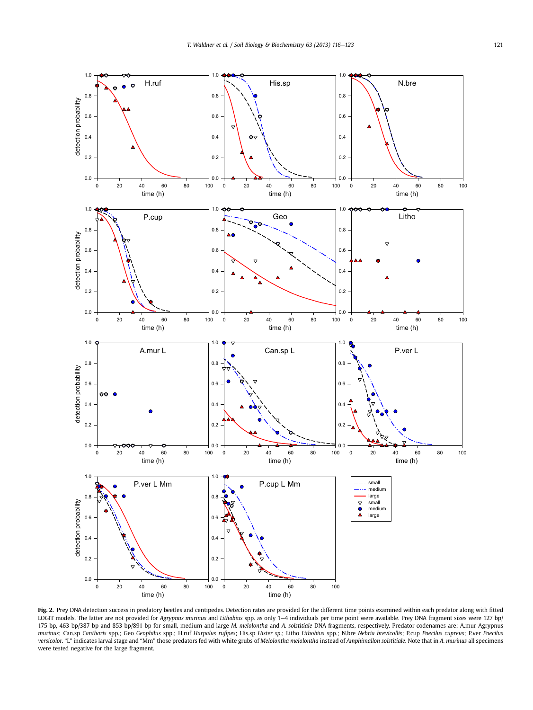<span id="page-5-0"></span>

Fig. 2. Prey DNA detection success in predatory beetles and centipedes. Detection rates are provided for the different time points examined within each predator along with fitted LOGIT models. The latter are not provided for Agrypnus murinus and Lithobius spp. as only 1–4 individuals per time point were available. Prey DNA fragment sizes were 127 bp<sub>/</sub> 175 bp, 463 bp/387 bp and 853 bp/891 bp for small, medium and large M. melolontha and A. solstitiale DNA fragments, respectively. Predator codenames are: A.mur Agrypnus murinus; Can.sp Cantharis spp.; Geo Geophilus spp.; H.ruf Harpalus rufipes; His.sp Hister sp.; Litho Lithobius spp.; N.bre Nebria brevicollis; P.cup Poecilus cupreus; P.ver Poecilus versicolor. "L" indicates larval stage and "Mm" those predators fed with white grubs of Melolontha melolontha instead of Amphimallon solstitiale. Note that in A. murinus all specimens were tested negative for the large fragment.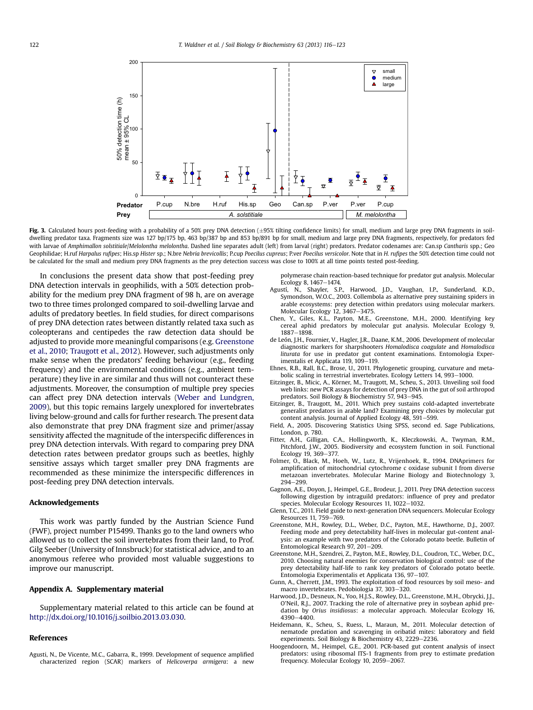<span id="page-6-0"></span>

Fig. 3. Calculated hours post-feeding with a probability of a 50% prey DNA detection (±95% tilting confidence limits) for small, medium and large prey DNA fragments in soildwelling predator taxa. Fragments size was 127 bp/175 bp, 463 bp/387 bp and 853 bp/891 bp for small, medium and large prey DNA fragments, respectively, for predators fed with larvae of Amphimallon solstitiale/Melolontha melolontha. Dashed line separates adult (left) from larval (right) predators. Predator codenames are: Can.sp Cantharis spp.; Geo Geophilidae; H.ruf Harpalus rufipes; His.sp Hister sp.; N.bre Nebria brevicollis; P.cup Poecilus cupreus; P.ver Poecilus versicolor. Note that in H. rufipes the 50% detection time could not be calculated for the small and medium prey DNA fragments as the prey detection success was close to 100% at all time points tested post-feeding.

In conclusions the present data show that post-feeding prey DNA detection intervals in geophilids, with a 50% detection probability for the medium prey DNA fragment of 98 h, are on average two to three times prolonged compared to soil-dwelling larvae and adults of predatory beetles. In field studies, for direct comparisons of prey DNA detection rates between distantly related taxa such as coleopterans and centipedes the raw detection data should be adjusted to provide more meaningful comparisons (e.g. Greenstone et al., 2010; [Traugott et al., 2012](#page-7-0)). However, such adjustments only make sense when the predators' feeding behaviour (e.g., feeding frequency) and the environmental conditions (e.g., ambient temperature) they live in are similar and thus will not counteract these adjustments. Moreover, the consumption of multiple prey species can affect prey DNA detection intervals [\(Weber and Lundgren,](#page-7-0) [2009](#page-7-0)), but this topic remains largely unexplored for invertebrates living below-ground and calls for further research. The present data also demonstrate that prey DNA fragment size and primer/assay sensitivity affected the magnitude of the interspecific differences in prey DNA detection intervals. With regard to comparing prey DNA detection rates between predator groups such as beetles, highly sensitive assays which target smaller prey DNA fragments are recommended as these minimize the interspecific differences in post-feeding prey DNA detection intervals.

### Acknowledgements

This work was partly funded by the Austrian Science Fund (FWF), project number P15499. Thanks go to the land owners who allowed us to collect the soil invertebrates from their land, to Prof. Gilg Seeber (University of Innsbruck) for statistical advice, and to an anonymous referee who provided most valuable suggestions to improve our manuscript.

#### Appendix A. Supplementary material

Supplementary material related to this article can be found at [http://dx.doi.org/10.1016/j.soilbio.2013.03.030.](http://dx.doi.org/10.1016/j.soilbio.2013.03.030)

### References

Agusti, N., De Vicente, M.C., Gabarra, R., 1999. Development of sequence amplified characterized region (SCAR) markers of Helicoverpa armigera: a new polymerase chain reaction-based technique for predator gut analysis. Molecular Ecology 8, 1467-1474.

- Agustí, N., Shayler, S.P., Harwood, J.D., Vaughan, I.P., Sunderland, K.D., Symondson, W.O.C., 2003. Collembola as alternative prey sustaining spiders in arable ecosystems: prey detection within predators using molecular markers. Molecular Ecology 12, 3467-3475.
- Chen, Y., Giles, K.L., Payton, M.E., Greenstone, M.H., 2000. Identifying key cereal aphid predators by molecular gut analysis. Molecular Ecology 9, 1887-1898
- de León, J.H., Fournier, V., Hagler, J.R., Daane, K.M., 2006. Development of molecular diagnostic markers for sharpshooters Homalodisca coagulate and Homalodisca liturata for use in predator gut content examinations. Entomologia Experimentalis et Applicata 119, 109-119.
- Ehnes, R.B., Rall, B.C., Brose, U., 2011. Phylogenetic grouping, curvature and metabolic scaling in terrestrial invertebrates. Ecology Letters 14, 993-1000.
- Eitzinger, B., Micic, A., Körner, M., Traugott, M., Scheu, S., 2013. Unveiling soil food web links: new PCR assays for detection of prey DNA in the gut of soil arthropod predators. Soil Biology & Biochemistry 57, 943-945.
- Eitzinger, B., Traugott, M., 2011. Which prey sustains cold-adapted invertebrate generalist predators in arable land? Examining prey choices by molecular gut content analysis. Journal of Applied Ecology 48, 591-599.
- Field, A., 2005. Discovering Statistics Using SPSS, second ed. Sage Publications, London, p. 780.
- Fitter, A.H., Gilligan, C.A., Hollingworth, K., Kleczkowski, A., Twyman, R.M., Pitchford, J.W., 2005. Biodiversity and ecosystem function in soil. Functional Ecology 19, 369-377.
- Folmer, O., Black, M., Hoeh, W., Lutz, R., Vrijenhoek, R., 1994. DNAprimers for amplification of mitochondrial cytochrome c oxidase subunit I from diverse metazoan invertebrates. Molecular Marine Biology and Biotechnology 3, 294-299
- Gagnon, A.E., Doyon, J., Heimpel, G.E., Brodeur, J., 2011. Prey DNA detection success following digestion by intraguild predators: influence of prey and predator species. Molecular Ecology Resources 11, 1022-1032.
- Glenn, T.C., 2011. Field guide to next-generation DNA sequencers. Molecular Ecology Resources 11, 759-769.
- Greenstone, M.H., Rowley, D.L., Weber, D.C., Payton, M.E., Hawthorne, D.J., 2007. Feeding mode and prey detectability half-lives in molecular gut-content analysis: an example with two predators of the Colorado potato beetle. Bulletin of Entomological Research 97, 201-209.
- Greenstone, M.H., Szendrei, Z., Payton, M.E., Rowley, D.L., Coudron, T.C., Weber, D.C., 2010. Choosing natural enemies for conservation biological control: use of the prey detectability half-life to rank key predators of Colorado potato beetle. Entomologia Experimentalis et Applicata 136, 97-107.
- Gunn, A., Cherrett, J.M., 1993. The exploitation of food resources by soil meso- and macro invertebrates. Pedobiologia 37, 303-320.
- Harwood, J.D., Desneux, N., Yoo, H.J.S., Rowley, D.L., Greenstone, M.H., Obrycki, J.J., O'Neil, R.J., 2007. Tracking the role of alternative prey in soybean aphid predation by Orius insidiosus: a molecular approach. Molecular Ecology 16, 4390-4400.
- Heidemann, K., Scheu, S., Ruess, L., Maraun, M., 2011. Molecular detection of nematode predation and scavenging in oribatid mites: laboratory and field experiments. Soil Biology & Biochemistry 43, 2229-2236.
- Hoogendoorn, M., Heimpel, G.E., 2001. PCR-based gut content analysis of insect predators: using ribosomal ITS-1 fragments from prey to estimate predation frequency. Molecular Ecology 10, 2059–2067.